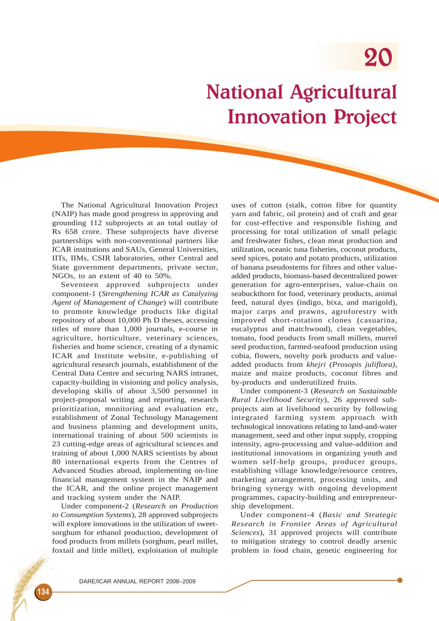# National Agricultural Innovation Project

The National Agricultural Innovation Project (NAIP) has made good progress in approving and grounding 112 subprojects at an total outlay of Rs 658 crore. These subprojects have diverse partnerships with non-conventional partners like ICAR institutions and SAUs, General Universities, IITs, IIMs, CSIR laboratories, other Central and State government departments, private sector, NGOs, to an extent of 40 to 50%.

Seventeen approved subprojects under component-1 (*Strengthening ICAR as Catalyzing Agent of Management of Change*) will contribute to promote knowledge products like digital repository of about 10,000 Ph D theses, accessing titles of more than 1,000 journals, e-course in agriculture, horticulture, veterinary sciences, fisheries and home science, creating of a dynamic ICAR and Institute website, e-publishing of agricultural research journals, establishment of the Central Data Centre and securing NARS intranet, capacity-building in visioning and policy analysis, developing skills of about 3,500 personnel in project-proposal writing and reporting, research prioritization, monitoring and evaluation etc, establishment of Zonal Technology Management and business planning and development units, international training of about 500 scientists in 23 cutting-edge areas of agricultural sciences and training of about 1,000 NARS scientists by about 80 international experts from the Centres of Advanced Studies abroad, implementing on-line financial management system in the NAIP and the ICAR, and the online project management and tracking system under the NAIP.

Under component-2 (*Research on Production to Consumption Systems*), 28 approved subprojects will explore innovations in the utilization of sweetsorghum for ethanol production, development of food products from millets (sorghum, pearl millet, foxtail and little millet), exploitation of multiple

uses of cotton (stalk, cotton fibre for quantity yarn and fabric, oil protein) and of craft and gear for cost-effective and responsible fishing and processing for total utilization of small pelagic and freshwater fishes, clean meat production and utilization, oceanic tuna fisheries, coconut products, seed spices, potato and potato products, utilization of banana pseudostems for fibres and other valueadded products, biomass-based decentralized power generation for agro-enterprises, value-chain on seabuckthorn for food, veterinary products, animal feed, natural dyes (indigo, bixa, and marigold), major carps and prawns, agroforestry with improved short-rotation clones (casuarina, eucalyptus and matchwood), clean vegetables, tomato, food products from small millets, murrel seed production, farmed-seafood production using cobia, flowers, novelty pork products and valueadded products from *khejri (Prosopis juliflora),* maize and maize products, coconut fibres and by-products and underutilized fruits.

Under component-3 (*Research on Sustainable Rural Livelihood Security*), 26 approved subprojects aim at livelihood security by following integrated farming system approach with technological innovations relating to land-and-water management, seed and other input supply, cropping intensity, agro-processing and value-addition and institutional innovations in organizing youth and women self-help groups, producer groups, establishing village knowledge/resource centres, marketing arrangement, processing units, and bringing synergy with ongoing development programmes, capacity-building and entrepreneurship development.

Under component-4 (*Basic and Strategic Research in Frontier Areas of Agricultural Sciences*), 31 approved projects will contribute to mitigation strategy to control deadly arsenic problem in food chain, genetic engineering for